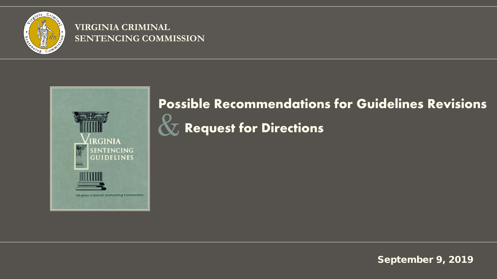

#### **VIRGINIA CRIMINAL SENTENCING COMMISSION**



#### **Possible Recommendations for Guidelines Revisions**

 **Request for Directions** &

September 9, 2019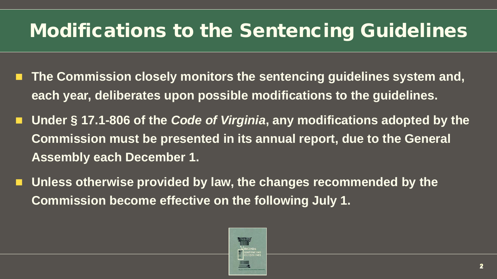## Modifications to the Sentencing Guidelines

- **The Commission closely monitors the sentencing guidelines system and, each year, deliberates upon possible modifications to the guidelines.**
- Under § 17.1-806 of the *Code of Virginia*, any modifications adopted by the **Commission must be presented in its annual report, due to the General Assembly each December 1.**
- **Unless otherwise provided by law, the changes recommended by the Commission become effective on the following July 1.**

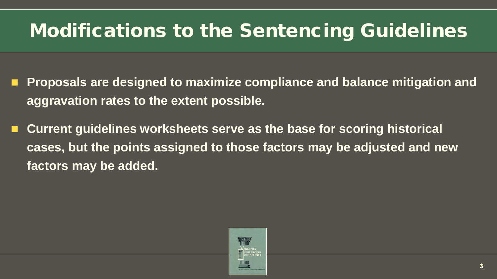# Modifications to the Sentencing Guidelines

- **Proposals are designed to maximize compliance and balance mitigation and aggravation rates to the extent possible.**
- **Current guidelines worksheets serve as the base for scoring historical cases, but the points assigned to those factors may be adjusted and new factors may be added.**

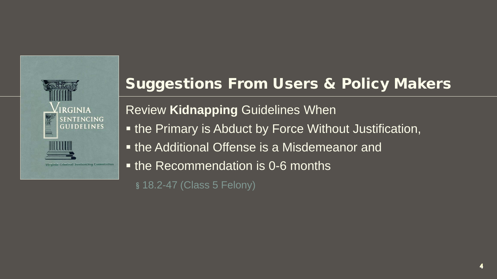

Review **Kidnapping** Guidelines When

- **the Primary is Abduct by Force Without Justification,**
- **the Additional Offense is a Misdemeanor and**
- **the Recommendation is 0-6 months**

**§** 18.2-47 (Class 5 Felony)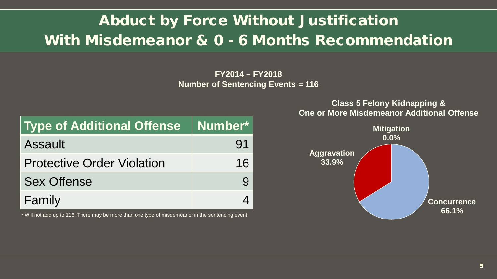### Abduct by Force Without Justification With Misdemeanor & 0 - 6 Months Recommendation

**FY2014 – FY2018 Number of Sentencing Events = 116**

| Type of Additional Offense   Number* |     |
|--------------------------------------|-----|
| Assault                              | .91 |
| <b>Protective Order Violation</b>    | 16  |
| <b>Sex Offense</b>                   |     |
| Family                               |     |

\* Will not add up to 116: There may be more than one type of misdemeanor in the sentencing event

**Concurrence 66.1% Aggravation 33.9% Mitigation 0.0% One or More Misdemeanor Additional Offense**

### **Class 5 Felony Kidnapping &**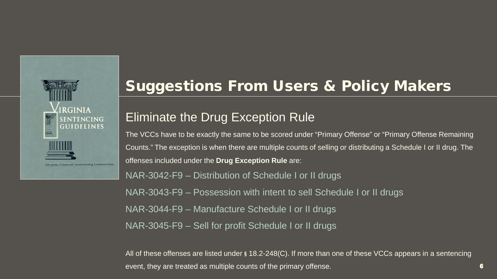

#### Eliminate the Drug Exception Rule

The VCCs have to be exactly the same to be scored under "Primary Offense" or "Primary Offense Remaining Counts." The exception is when there are multiple counts of selling or distributing a Schedule I or II drug. The offenses included under the **Drug Exception Rule** are:

NAR-3042-F9 – Distribution of Schedule I or II drugs NAR-3043-F9 – Possession with intent to sell Schedule I or II drugs NAR-3044-F9 – Manufacture Schedule I or II drugs NAR-3045-F9 – Sell for profit Schedule I or II drugs

All of these offenses are listed under **§** 18.2-248(C). If more than one of these VCCs appears in a sentencing event, they are treated as multiple counts of the primary offense.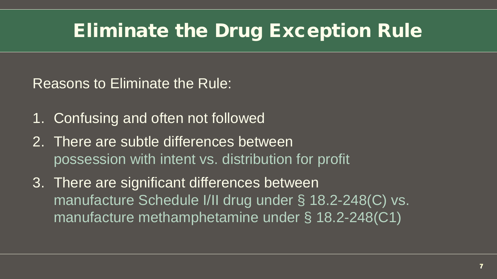Reasons to Eliminate the Rule:

- 1. Confusing and often not followed
- 2. There are subtle differences between possession with intent vs. distribution for profit
- 3. There are significant differences between manufacture Schedule I/II drug under § 18.2-248(C) vs. manufacture methamphetamine under § 18.2-248(C1)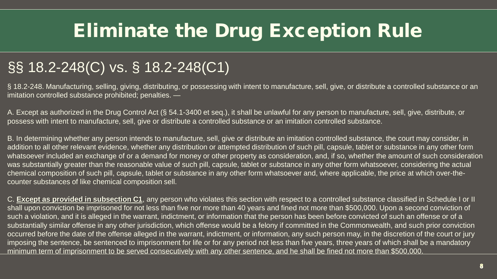### §§ 18.2-248(C) vs. § 18.2-248(C1)

§ 18.2-248. Manufacturing, selling, giving, distributing, or possessing with intent to manufacture, sell, give, or distribute a controlled substance or an imitation controlled substance prohibited; penalties. —

A. Except as authorized in the Drug Control Act (§ 54.1-3400 et seq.), it shall be unlawful for any person to manufacture, sell, give, distribute, or possess with intent to manufacture, sell, give or distribute a controlled substance or an imitation controlled substance.

B. In determining whether any person intends to manufacture, sell, give or distribute an imitation controlled substance, the court may consider, in addition to all other relevant evidence, whether any distribution or attempted distribution of such pill, capsule, tablet or substance in any other form whatsoever included an exchange of or a demand for money or other property as consideration, and, if so, whether the amount of such consideration was substantially greater than the reasonable value of such pill, capsule, tablet or substance in any other form whatsoever, considering the actual chemical composition of such pill, capsule, tablet or substance in any other form whatsoever and, where applicable, the price at which over-thecounter substances of like chemical composition sell.

C. **Except as provided in subsection C1**, any person who violates this section with respect to a controlled substance classified in Schedule I or II shall upon conviction be imprisoned for not less than five nor more than 40 years and fined not more than \$500,000. Upon a second conviction of such a violation, and it is alleged in the warrant, indictment, or information that the person has been before convicted of such an offense or of a substantially similar offense in any other jurisdiction, which offense would be a felony if committed in the Commonwealth, and such prior conviction occurred before the date of the offense alleged in the warrant, indictment, or information, any such person may, in the discretion of the court or jury imposing the sentence, be sentenced to imprisonment for life or for any period not less than five years, three years of which shall be a mandatory minimum term of imprisonment to be served consecutively with any other sentence, and he shall be fined not more than \$500,000.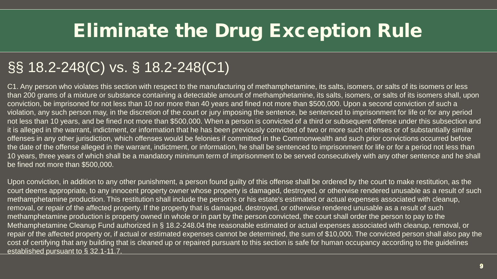### §§ 18.2-248(C) vs. § 18.2-248(C1)

C1. Any person who violates this section with respect to the manufacturing of methamphetamine, its salts, isomers, or salts of its isomers or less than 200 grams of a mixture or substance containing a detectable amount of methamphetamine, its salts, isomers, or salts of its isomers shall, upon conviction, be imprisoned for not less than 10 nor more than 40 years and fined not more than \$500,000. Upon a second conviction of such a violation, any such person may, in the discretion of the court or jury imposing the sentence, be sentenced to imprisonment for life or for any period not less than 10 years, and be fined not more than \$500,000. When a person is convicted of a third or subsequent offense under this subsection and it is alleged in the warrant, indictment, or information that he has been previously convicted of two or more such offenses or of substantially similar offenses in any other jurisdiction, which offenses would be felonies if committed in the Commonwealth and such prior convictions occurred before the date of the offense alleged in the warrant, indictment, or information, he shall be sentenced to imprisonment for life or for a period not less than 10 years, three years of which shall be a mandatory minimum term of imprisonment to be served consecutively with any other sentence and he shall be fined not more than \$500,000.

Upon conviction, in addition to any other punishment, a person found guilty of this offense shall be ordered by the court to make restitution, as the court deems appropriate, to any innocent property owner whose property is damaged, destroyed, or otherwise rendered unusable as a result of such methamphetamine production. This restitution shall include the person's or his estate's estimated or actual expenses associated with cleanup, removal, or repair of the affected property. If the property that is damaged, destroyed, or otherwise rendered unusable as a result of such methamphetamine production is property owned in whole or in part by the person convicted, the court shall order the person to pay to the Methamphetamine Cleanup Fund authorized in § 18.2-248.04 the reasonable estimated or actual expenses associated with cleanup, removal, or repair of the affected property or, if actual or estimated expenses cannot be determined, the sum of \$10,000. The convicted person shall also pay the cost of certifying that any building that is cleaned up or repaired pursuant to this section is safe for human occupancy according to the guidelines established pursuant to § 32.1-11.7.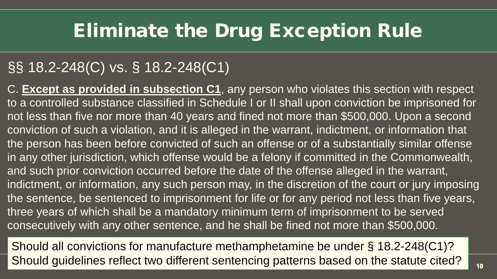#### §§ 18.2-248(C) vs. § 18.2-248(C1)

C. **Except as provided in subsection C1**, any person who violates this section with respect to a controlled substance classified in Schedule I or II shall upon conviction be imprisoned for not less than five nor more than 40 years and fined not more than \$500,000. Upon a second conviction of such a violation, and it is alleged in the warrant, indictment, or information that the person has been before convicted of such an offense or of a substantially similar offense in any other jurisdiction, which offense would be a felony if committed in the Commonwealth, and such prior conviction occurred before the date of the offense alleged in the warrant, indictment, or information, any such person may, in the discretion of the court or jury imposing the sentence, be sentenced to imprisonment for life or for any period not less than five years, three years of which shall be a mandatory minimum term of imprisonment to be served consecutively with any other sentence, and he shall be fined not more than \$500,000.

Should all convictions for manufacture methamphetamine be under § 18.2-248(C1)? Should guidelines reflect two different sentencing patterns based on the statute cited?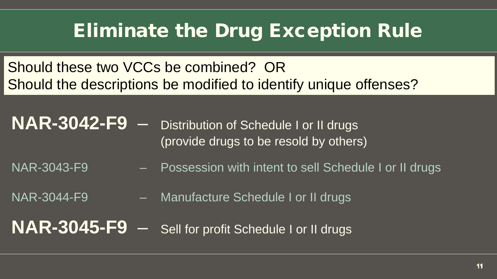Should these two VCCs be combined? OR Should the descriptions be modified to identify unique offenses?

**NAR-3042-F9** – Distribution of Schedule I or II drugs (provide drugs to be resold by others)

- NAR-3043-F9 <sup>-</sup> Possession with intent to sell Schedule I or II drugs
- NAR-3044-F9 Manufacture Schedule I or II drugs

**NAR-3045-F9** – Sell for profit Schedule I or II drugs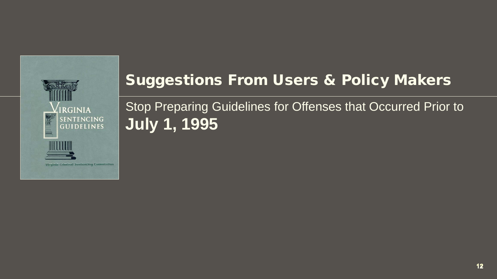

Stop Preparing Guidelines for Offenses that Occurred Prior to **July 1, 1995**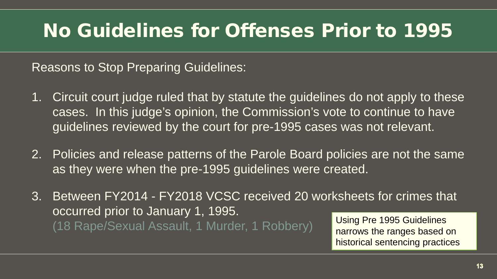### No Guidelines for Offenses Prior to 1995

Reasons to Stop Preparing Guidelines:

- 1. Circuit court judge ruled that by statute the guidelines do not apply to these cases. In this judge's opinion, the Commission's vote to continue to have guidelines reviewed by the court for pre-1995 cases was not relevant.
- 2. Policies and release patterns of the Parole Board policies are not the same as they were when the pre-1995 guidelines were created.
- 3. Between FY2014 FY2018 VCSC received 20 worksheets for crimes that occurred prior to January 1, 1995. (18 Rape/Sexual Assault, 1 Murder, 1 Robbery) Using Pre 1995 Guidelines

narrows the ranges based on historical sentencing practices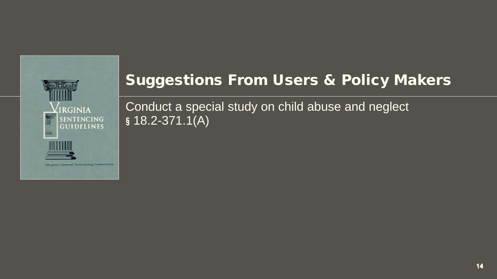

Conduct a special study on child abuse and neglect **§** 18.2-371.1(A)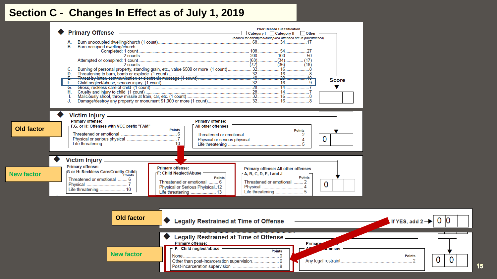#### **Section C - Changes In Effect as of July 1, 2019**

|                                        | <b>Primary Offense</b><br>Burn occupied dwelling/church<br>В.<br>H.                                                                                                                                           | - Prior Record Classification -<br>───────────────────────────── <sup>───</sup> Category I Category II Cother                                                                                                                                           | (scores for attempted/conspired offenses are in parentheses)<br><b>Score</b>                                         |                                              |
|----------------------------------------|---------------------------------------------------------------------------------------------------------------------------------------------------------------------------------------------------------------|---------------------------------------------------------------------------------------------------------------------------------------------------------------------------------------------------------------------------------------------------------|----------------------------------------------------------------------------------------------------------------------|----------------------------------------------|
| <b>Old factor</b><br><b>New factor</b> | Victim Injury _<br><b>Primary offense:</b><br>F,G, or H: Offenses with VCC prefix "FAM" -<br>Victim Injury _<br><b>Primary offense:</b><br>[G or H: Reckless Care/Cruelty Child<br>Threatened or emotional  6 | <b>Primary offense:</b><br>All other offenses<br><b>Points</b><br><b>Primary offense:</b><br>F: Child Neglect/Abuse<br>A, B, C, D, E, I and J<br><b>Points</b><br>Threatened or emotional  6<br>Physical or Serious Phyisical12<br>Life threatening  13 | <b>Points</b><br>0<br>Primary offense: All other offenses<br><b>Points</b><br>Threatened or emotional  2<br>$\Omega$ |                                              |
|                                        | <b>Old factor</b><br><b>New factor</b>                                                                                                                                                                        | <b>Legally Restrained at Time of Offense</b><br>Legally Restrained at Time of Offense -<br><b>Primary offense:</b><br>F: Child neglect/abuse -                                                                                                          | <b>Primary</b><br><b>Anenses</b><br><b>Points</b>                                                                    | If YES, add $2 \rightarrow$<br><b>Points</b> |

0 lO

 $\overline{0}$ 

 $\mathbf 0$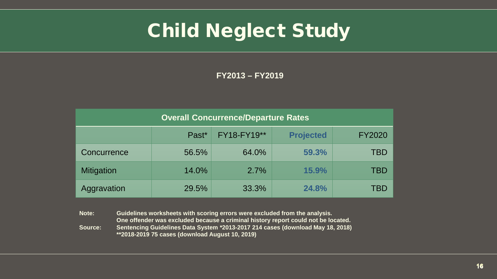### Child Neglect Study

**FY2013 – FY2019**

| <b>Overall Concurrence/Departure Rates</b> |       |             |                  |               |  |  |  |
|--------------------------------------------|-------|-------------|------------------|---------------|--|--|--|
|                                            | Past* | FY18-FY19** | <b>Projected</b> | <b>FY2020</b> |  |  |  |
| Concurrence                                | 56.5% | 64.0%       | 59.3%            | TBD           |  |  |  |
| <b>Mitigation</b>                          | 14.0% | 2.7%        | 15.9%            | TBD           |  |  |  |
| Aggravation                                | 29.5% | 33.3%       | 24.8%            | TBD           |  |  |  |

**Note: Guidelines worksheets with scoring errors were excluded from the analysis. One offender was excluded because a criminal history report could not be located. Source: Sentencing Guidelines Data System \*2013-2017 214 cases (download May 18, 2018) \*\*2018-2019 75 cases (download August 10, 2019)**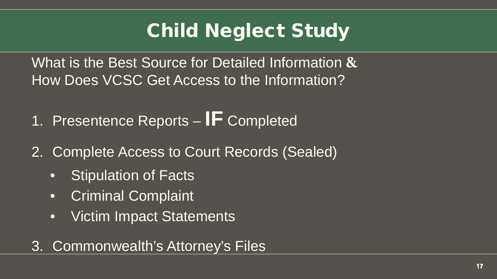# Child Neglect Study

What is the Best Source for Detailed Information **&** How Does VCSC Get Access to the Information?

- 1. Presentence Reports **IF** Completed
- 2. Complete Access to Court Records (Sealed)
	- Stipulation of Facts
	- Criminal Complaint
	- Victim Impact Statements

#### 3. Commonwealth's Attorney's Files